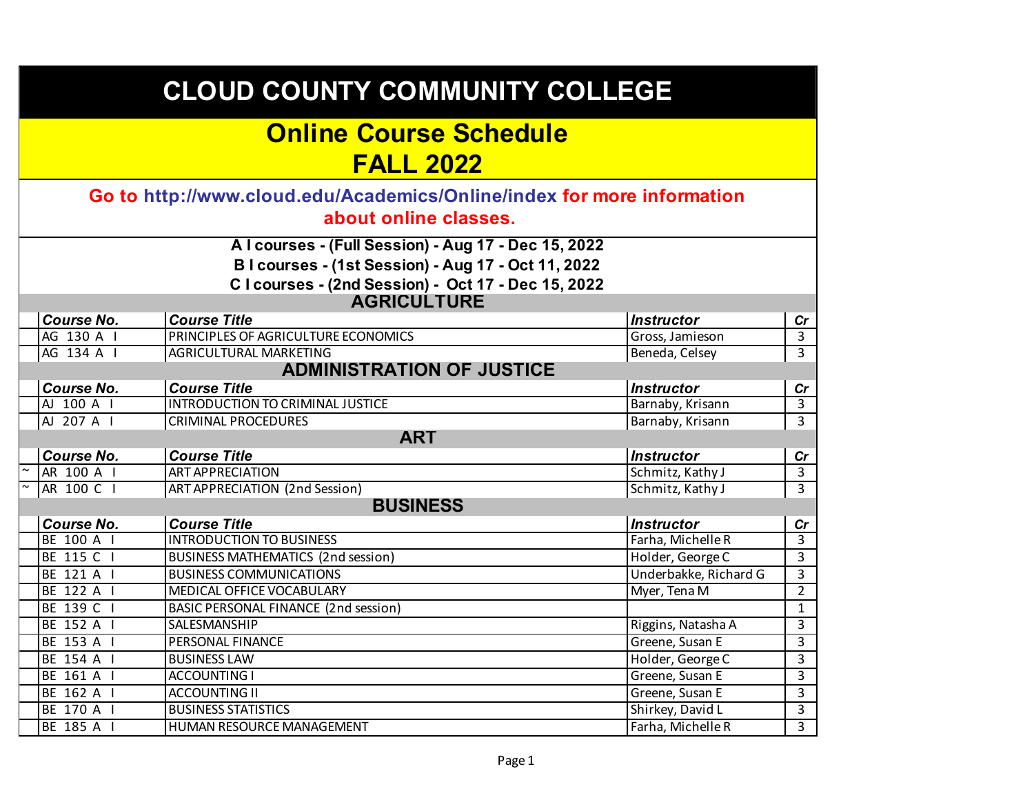|  | <b>CLOUD COUNTY COMMUNITY COLLEGE</b><br><b>Online Course Schedule</b><br><b>FALL 2022</b> |                                                                                                                                                                                        |                       |                |  |
|--|--------------------------------------------------------------------------------------------|----------------------------------------------------------------------------------------------------------------------------------------------------------------------------------------|-----------------------|----------------|--|
|  |                                                                                            |                                                                                                                                                                                        |                       |                |  |
|  |                                                                                            | Go to http://www.cloud.edu/Academics/Online/index for more information<br>about online classes.                                                                                        |                       |                |  |
|  |                                                                                            | Alcourses - (Full Session) - Aug 17 - Dec 15, 2022<br>B I courses - (1st Session) - Aug 17 - Oct 11, 2022<br>C I courses - (2nd Session) - Oct 17 - Dec 15, 2022<br><b>AGRICULTURE</b> |                       |                |  |
|  | <b>Course No.</b>                                                                          | <b>Course Title</b>                                                                                                                                                                    | <b>Instructor</b>     | cr             |  |
|  | AG 130 A I                                                                                 | PRINCIPLES OF AGRICULTURE ECONOMICS                                                                                                                                                    | Gross, Jamieson       | $\overline{3}$ |  |
|  | AG 134 A I                                                                                 | <b>AGRICULTURAL MARKETING</b>                                                                                                                                                          | Beneda, Celsey        | $\overline{3}$ |  |
|  |                                                                                            | <b>ADMINISTRATION OF JUSTICE</b>                                                                                                                                                       |                       |                |  |
|  | <b>Course No.</b>                                                                          | <b>Course Title</b>                                                                                                                                                                    | <b>Instructor</b>     | cr             |  |
|  | AJ 100 A I                                                                                 | <b>INTRODUCTION TO CRIMINAL JUSTICE</b>                                                                                                                                                | Barnaby, Krisann      | $\overline{3}$ |  |
|  | AJ 207 A I                                                                                 | <b>CRIMINAL PROCEDURES</b>                                                                                                                                                             | Barnaby, Krisann      | $\overline{3}$ |  |
|  |                                                                                            | <b>ART</b>                                                                                                                                                                             |                       |                |  |
|  | <b>Course No.</b>                                                                          | <b>Course Title</b>                                                                                                                                                                    | <b>Instructor</b>     | cr             |  |
|  | AR 100 A I                                                                                 | <b>ART APPRECIATION</b>                                                                                                                                                                | Schmitz, Kathy J      | $\overline{3}$ |  |
|  | AR 100 C I                                                                                 | <b>ART APPRECIATION (2nd Session)</b>                                                                                                                                                  | Schmitz, Kathy J      | $\overline{3}$ |  |
|  |                                                                                            | <b>BUSINESS</b>                                                                                                                                                                        |                       |                |  |
|  | <b>Course No.</b>                                                                          | <b>Course Title</b>                                                                                                                                                                    | <b>Instructor</b>     | cr             |  |
|  | BE 100 A I                                                                                 | <b>INTRODUCTION TO BUSINESS</b>                                                                                                                                                        | Farha, Michelle R     | 3              |  |
|  | BE 115 C I                                                                                 | <b>BUSINESS MATHEMATICS (2nd session)</b>                                                                                                                                              | Holder, George C      | $\overline{3}$ |  |
|  | BE 121 A I                                                                                 | <b>BUSINESS COMMUNICATIONS</b>                                                                                                                                                         | Underbakke, Richard G | 3              |  |
|  | BE 122 A I                                                                                 | MEDICAL OFFICE VOCABULARY                                                                                                                                                              | Myer, Tena M          | $\overline{2}$ |  |
|  | BE 139 C I                                                                                 | BASIC PERSONAL FINANCE (2nd session)                                                                                                                                                   |                       | $\mathbf{1}$   |  |
|  | BE 152 A I                                                                                 | SALESMANSHIP                                                                                                                                                                           | Riggins, Natasha A    | 3              |  |
|  | BE 153 A I                                                                                 | PERSONAL FINANCE                                                                                                                                                                       | Greene, Susan E       | $\overline{3}$ |  |
|  | BE 154 A I                                                                                 | <b>BUSINESS LAW</b>                                                                                                                                                                    | Holder, George C      | 3              |  |
|  | BE 161 A I                                                                                 | <b>ACCOUNTING I</b>                                                                                                                                                                    | Greene, Susan E       | 3              |  |
|  | BE 162 A I                                                                                 | <b>ACCOUNTING II</b>                                                                                                                                                                   | Greene, Susan E       | $\overline{3}$ |  |
|  | BE 170 A I                                                                                 | <b>BUSINESS STATISTICS</b>                                                                                                                                                             | Shirkey, David L      | 3              |  |
|  | BE 185 A I                                                                                 | HUMAN RESOURCE MANAGEMENT                                                                                                                                                              | Farha, Michelle R     | $\overline{3}$ |  |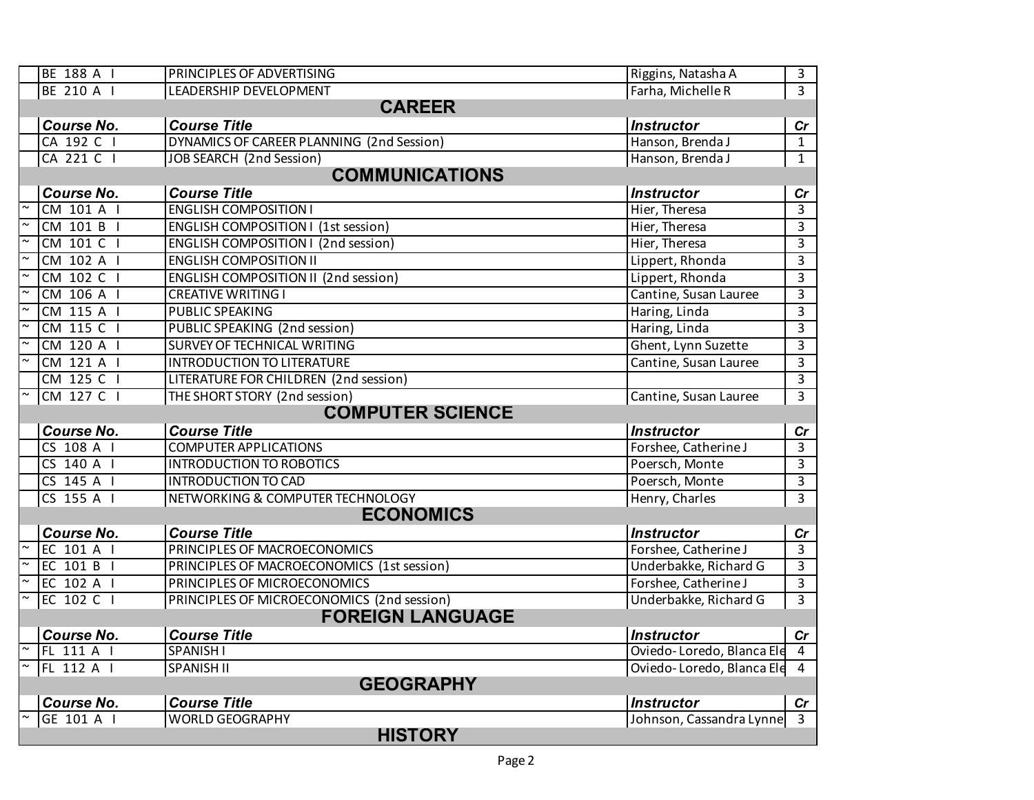|                          | BE 188 A I                          | PRINCIPLES OF ADVERTISING                  | Riggins, Natasha A          | $\overline{3}$      |  |  |
|--------------------------|-------------------------------------|--------------------------------------------|-----------------------------|---------------------|--|--|
|                          | BE 210 A I                          | LEADERSHIP DEVELOPMENT                     | Farha, Michelle R           | $\overline{3}$      |  |  |
|                          | <b>CAREER</b>                       |                                            |                             |                     |  |  |
|                          | <b>Course No.</b>                   | <b>Course Title</b>                        | <b>Instructor</b>           | cr                  |  |  |
|                          | CA 192 C I                          | DYNAMICS OF CAREER PLANNING (2nd Session)  | Hanson, Brenda J            | $\mathbf{1}$        |  |  |
|                          | CA 221 C I                          | <b>JOB SEARCH (2nd Session)</b>            | Hanson, Brenda J            | $\mathbf{1}$        |  |  |
|                          |                                     | <b>COMMUNICATIONS</b>                      |                             |                     |  |  |
|                          | <b>Course No.</b>                   | <b>Course Title</b>                        | <b>Instructor</b>           | cr                  |  |  |
|                          | CM 101 A I                          | <b>ENGLISH COMPOSITION I</b>               | Hier, Theresa               | ادن                 |  |  |
|                          | CM 101 B I                          | <b>ENGLISH COMPOSITION I (1st session)</b> | Hier, Theresa               | $\overline{3}$      |  |  |
| $\overline{\phantom{a}}$ | CM 101 C I                          | <b>ENGLISH COMPOSITION I (2nd session)</b> | Hier, Theresa               | $\overline{3}$      |  |  |
|                          | CM 102 A I                          | <b>ENGLISH COMPOSITION II</b>              | Lippert, Rhonda             | 3                   |  |  |
|                          | CM 102 C I                          | ENGLISH COMPOSITION II (2nd session)       | Lippert, Rhonda             | $\overline{3}$      |  |  |
|                          | CM 106 A I                          | <b>CREATIVE WRITING I</b>                  | Cantine, Susan Lauree       | $\overline{3}$      |  |  |
|                          | CM 115 A I                          | PUBLIC SPEAKING                            | Haring, Linda               | 3                   |  |  |
|                          | CM 115 C I                          | PUBLIC SPEAKING (2nd session)              | Haring, Linda               | $\overline{3}$      |  |  |
|                          | CM 120 A I                          | SURVEY OF TECHNICAL WRITING                | Ghent, Lynn Suzette         | $\overline{3}$      |  |  |
| $\overline{\phantom{0}}$ | CM 121 A I                          | <b>INTRODUCTION TO LITERATURE</b>          | Cantine, Susan Lauree       | $\overline{3}$      |  |  |
|                          | CM 125 C I                          | LITERATURE FOR CHILDREN (2nd session)      |                             | $\overline{3}$      |  |  |
|                          | CM 127 C I                          | THE SHORT STORY (2nd session)              | Cantine, Susan Lauree       | $\overline{3}$      |  |  |
|                          |                                     | <b>COMPUTER SCIENCE</b>                    |                             |                     |  |  |
|                          | <b>Course No.</b>                   | <b>Course Title</b>                        | <b>Instructor</b>           | cr                  |  |  |
|                          | CS 108 A I                          | <b>COMPUTER APPLICATIONS</b>               | Forshee, Catherine J        | $\overline{3}$      |  |  |
|                          | $CS$ 140 A $\overline{\phantom{a}}$ | <b>INTRODUCTION TO ROBOTICS</b>            | Poersch, Monte              | $\overline{3}$      |  |  |
|                          | CS 145 A I                          | <b>INTRODUCTION TO CAD</b>                 | Poersch, Monte              | $\overline{3}$      |  |  |
|                          | CS 155 A I                          | NETWORKING & COMPUTER TECHNOLOGY           | Henry, Charles              | $\overline{3}$      |  |  |
|                          |                                     | <b>ECONOMICS</b>                           |                             |                     |  |  |
|                          | <b>Course No.</b>                   | <b>Course Title</b>                        | <b>Instructor</b>           | cr                  |  |  |
| $\overline{z}$           | EC 101 A I                          | PRINCIPLES OF MACROECONOMICS               | Forshee, Catherine J        | $\overline{\omega}$ |  |  |
|                          | EC 101 B I                          | PRINCIPLES OF MACROECONOMICS (1st session) | Underbakke, Richard G       | $\overline{3}$      |  |  |
|                          | EC 102 A I                          | PRINCIPLES OF MICROECONOMICS               | Forshee, Catherine J        | $\overline{3}$      |  |  |
|                          | EC 102 C I                          | PRINCIPLES OF MICROECONOMICS (2nd session) | Underbakke, Richard G       | 3                   |  |  |
|                          |                                     | <b>FOREIGN LANGUAGE</b>                    |                             |                     |  |  |
|                          | <b>Course No.</b>                   | <b>Course Title</b>                        | <b>Instructor</b>           | $\mathsf{Cr}$       |  |  |
|                          | FL 111 A I                          | SPANISH I                                  | Oviedo-Loredo, Blanca Ele   | $\overline{4}$      |  |  |
|                          | FL 112 A I                          | <b>SPANISH II</b>                          | Oviedo-Loredo, Blanca Ele 4 |                     |  |  |
|                          |                                     | <b>GEOGRAPHY</b>                           |                             |                     |  |  |
|                          | <b>Course No.</b>                   | <b>Course Title</b>                        | <b>Instructor</b>           | Cr                  |  |  |
|                          | GE 101 A I                          | <b>WORLD GEOGRAPHY</b>                     | Johnson, Cassandra Lynne    |                     |  |  |
|                          |                                     | <b>HISTORY</b>                             |                             |                     |  |  |
|                          |                                     |                                            |                             |                     |  |  |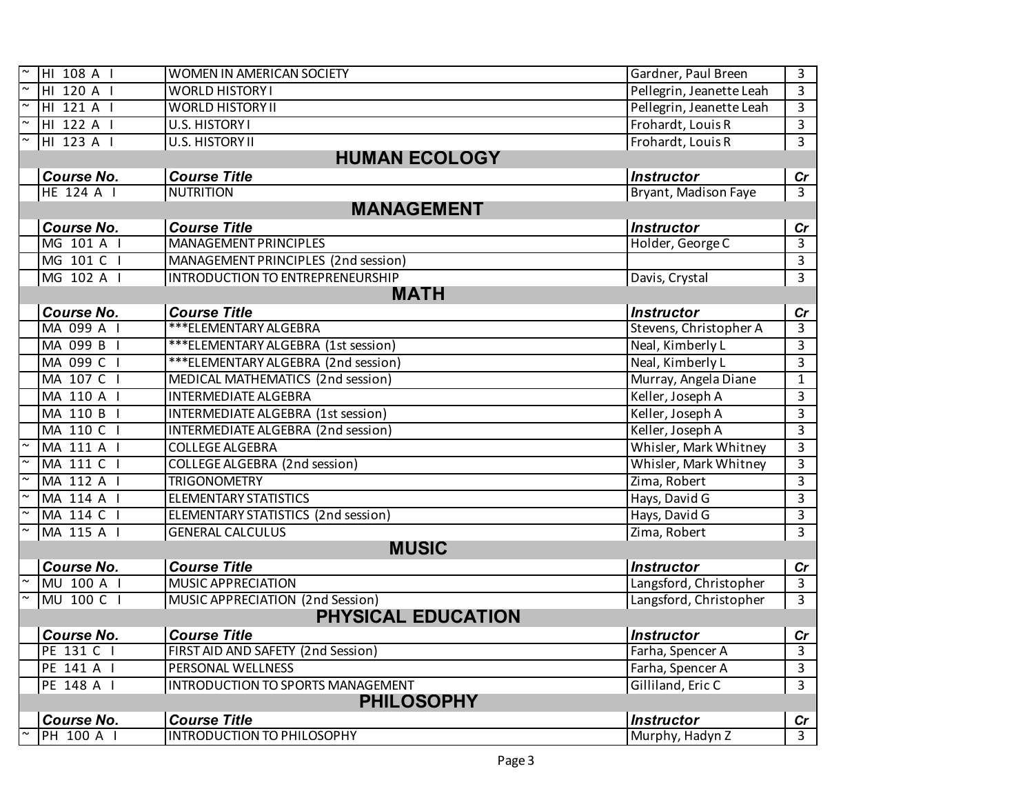| HI 108 A I        | WOMEN IN AMERICAN SOCIETY                  | Gardner, Paul Breen      | $\overline{\omega}$     |
|-------------------|--------------------------------------------|--------------------------|-------------------------|
| HI 120 A I        | <b>WORLD HISTORY I</b>                     | Pellegrin, Jeanette Leah | $\overline{\mathbf{3}}$ |
| HI 121 A I        | <b>WORLD HISTORY II</b>                    | Pellegrin, Jeanette Leah | $\mathbf{3}$            |
| HI 122 A I        | U.S. HISTORY I                             | Frohardt, Louis R        | $\overline{3}$          |
| HI 123 A I        | U.S. HISTORY II                            | Frohardt, Louis R        | $\overline{3}$          |
|                   | <b>HUMAN ECOLOGY</b>                       |                          |                         |
| <b>Course No.</b> | <b>Course Title</b>                        | <b>Instructor</b>        | cr                      |
| HE 124 A I        | <b>NUTRITION</b>                           | Bryant, Madison Faye     | $\overline{3}$          |
|                   | <b>MANAGEMENT</b>                          |                          |                         |
| <b>Course No.</b> | <b>Course Title</b>                        | <b>Instructor</b>        | Cr                      |
| MG 101 A I        | <b>MANAGEMENT PRINCIPLES</b>               | Holder, George C         | اسا                     |
| MG 101 C I        | MANAGEMENT PRINCIPLES (2nd session)        |                          | $\mathbf{3}$            |
| MG 102 A I        | <b>INTRODUCTION TO ENTREPRENEURSHIP</b>    | Davis, Crystal           | $\overline{3}$          |
|                   | <b>MATH</b>                                |                          |                         |
| <b>Course No.</b> | <b>Course Title</b>                        | <b>Instructor</b>        | cr                      |
| MA 099 A I        | ***ELEMENTARY ALGEBRA                      | Stevens, Christopher A   | $\overline{3}$          |
| MA 099 B I        | *** ELEMENTARY ALGEBRA (1st session)       | Neal, Kimberly L         | $\overline{\mathbf{3}}$ |
| MA 099 C I        | *** ELEMENTARY ALGEBRA (2nd session)       | Neal, Kimberly L         | $\overline{3}$          |
| MA 107 C I        | MEDICAL MATHEMATICS (2nd session)          | Murray, Angela Diane     | $\overline{1}$          |
| MA 110 A I        | <b>INTERMEDIATE ALGEBRA</b>                | Keller, Joseph A         | $\overline{\mathbf{3}}$ |
| MA 110 B I        | INTERMEDIATE ALGEBRA (1st session)         | Keller, Joseph A         | $\overline{3}$          |
| MA 110 C I        | INTERMEDIATE ALGEBRA (2nd session)         | Keller, Joseph A         | $\overline{3}$          |
| MA 111 A I        | <b>COLLEGE ALGEBRA</b>                     | Whisler, Mark Whitney    | $\overline{3}$          |
| MA 111 C I        | <b>COLLEGE ALGEBRA (2nd session)</b>       | Whisler, Mark Whitney    | $\overline{\mathbf{3}}$ |
| MA 112 A I        | <b>TRIGONOMETRY</b>                        | Zima, Robert             | $\overline{3}$          |
| MA 114 A I        | <b>ELEMENTARY STATISTICS</b>               | Hays, David G            | $\overline{3}$          |
| MA 114 C I        | <b>ELEMENTARY STATISTICS (2nd session)</b> | Hays, David G            | $\overline{\mathbf{3}}$ |
| MA 115 A I        | <b>GENERAL CALCULUS</b>                    | Zima, Robert             | $\overline{3}$          |
|                   | <b>MUSIC</b>                               |                          |                         |
| <b>Course No.</b> | <b>Course Title</b>                        | <b>Instructor</b>        | cr                      |
| MU 100 A I        | <b>MUSIC APPRECIATION</b>                  | Langsford, Christopher   | $\overline{3}$          |
| MU 100 C I        | MUSIC APPRECIATION (2nd Session)           | Langsford, Christopher   | $\overline{3}$          |
|                   | <b>PHYSICAL EDUCATION</b>                  |                          |                         |
| Course No.        | <b>Course Title</b>                        | <b>Instructor</b>        | cr                      |
| PE 131 C          | FIRST AID AND SAFETY (2nd Session)         | Farha, Spencer A         | $\mathbf{3}$            |
| PE 141 A I        | PERSONAL WELLNESS                          | Farha, Spencer A         | $\overline{3}$          |
| PE 148 A I        | INTRODUCTION TO SPORTS MANAGEMENT          | Gilliland, Eric C        | $\overline{\mathbf{3}}$ |
|                   | <b>PHILOSOPHY</b>                          |                          |                         |
| <b>Course No.</b> | <b>Course Title</b>                        | <b>Instructor</b>        | cr                      |
| PH 100 A I        | <b>INTRODUCTION TO PHILOSOPHY</b>          | Murphy, Hadyn Z          | $\overline{3}$          |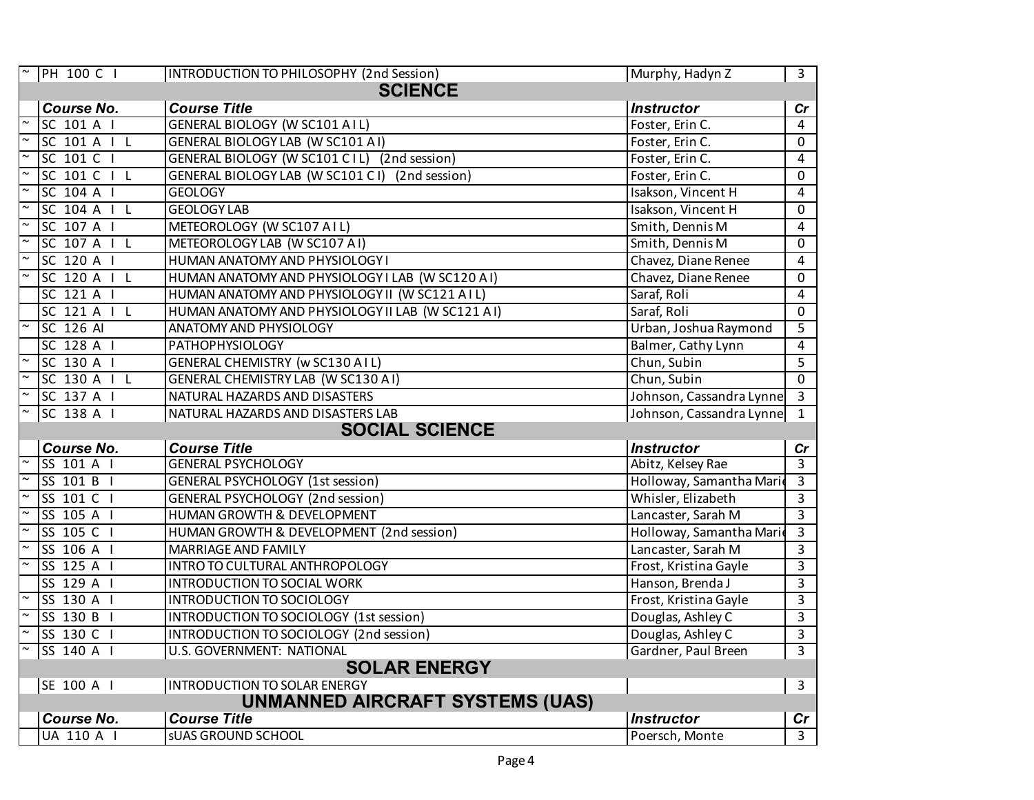|        | <b>PH 100 C I</b>     | INTRODUCTION TO PHILOSOPHY (2nd Session)         | Murphy, Hadyn Z          | $\overline{3}$          |  |
|--------|-----------------------|--------------------------------------------------|--------------------------|-------------------------|--|
|        | <b>SCIENCE</b>        |                                                  |                          |                         |  |
|        | <b>Course No.</b>     | <b>Course Title</b>                              | <b>Instructor</b>        | cr                      |  |
|        | SC 101 A I            | <b>GENERAL BIOLOGY (W SC101 AIL)</b>             | Foster, Erin C.          | 4                       |  |
|        | SC 101 A   L          | <b>GENERAL BIOLOGY LAB (W SC101 A1)</b>          | Foster, Erin C.          | $\Omega$                |  |
|        | SC 101 C I            | GENERAL BIOLOGY (W SC101 C1L) (2nd session)      | Foster, Erin C.          | $\overline{4}$          |  |
|        | SC 101 C   L          | GENERAL BIOLOGY LAB (W SC101 CI) (2nd session)   | Foster, Erin C.          | 0                       |  |
|        | SC 104 A I            | <b>GEOLOGY</b>                                   | Isakson, Vincent H       | 4                       |  |
|        | SC 104 A I L          | <b>GEOLOGY LAB</b>                               | Isakson, Vincent H       | 0                       |  |
|        | SC 107 A I            | METEOROLOGY (W SC107 AIL)                        | Smith, Dennis M          | 4                       |  |
|        | SC 107 A   L          | METEOROLOGY LAB (W SC107 A1)                     | Smith, Dennis M          | 0                       |  |
| $\sim$ | SC 120 A I            | HUMAN ANATOMY AND PHYSIOLOGY I                   | Chavez, Diane Renee      | 4                       |  |
|        | SC 120 A   L          | HUMAN ANATOMY AND PHYSIOLOGY I LAB (W SC120 AI)  | Chavez, Diane Renee      | 0                       |  |
|        | SC 121 A I            | HUMAN ANATOMY AND PHYSIOLOGY II (W SC121 AIL)    | Saraf, Roli              | 4                       |  |
|        | SC 121 A   L          | HUMAN ANATOMY AND PHYSIOLOGY II LAB (W SC121 AI) | Saraf, Roli              | 0                       |  |
|        | SC 126 AI             | ANATOMY AND PHYSIOLOGY                           | Urban, Joshua Raymond    | 5                       |  |
|        | SC 128 A I            | <b>PATHOPHYSIOLOGY</b>                           | Balmer, Cathy Lynn       | 4                       |  |
|        | $SC$ 130 A $I$        | <b>GENERAL CHEMISTRY (W SC130 AIL)</b>           | Chun, Subin              | 5                       |  |
|        | SC 130 A   L          | <b>GENERAL CHEMISTRY LAB (W SC130 A1)</b>        | Chun, Subin              | $\Omega$                |  |
|        | SC 137 A I            | NATURAL HAZARDS AND DISASTERS                    | Johnson, Cassandra Lynne | $\overline{\mathbf{3}}$ |  |
|        | SC 138 A I            | NATURAL HAZARDS AND DISASTERS LAB                | Johnson, Cassandra Lynne | $\mathbf{1}$            |  |
|        | <b>SOCIAL SCIENCE</b> |                                                  |                          |                         |  |
|        | <b>Course No.</b>     | <b>Course Title</b>                              | <b>Instructor</b>        | cr                      |  |
|        | SS 101 A I            | <b>GENERAL PSYCHOLOGY</b>                        | Abitz, Kelsey Rae        | 3                       |  |
|        | SS 101 B I            | <b>GENERAL PSYCHOLOGY (1st session)</b>          | Holloway, Samantha Marie | 3                       |  |
|        | SS 101 C I            | <b>GENERAL PSYCHOLOGY (2nd session)</b>          | Whisler, Elizabeth       | 3                       |  |
|        | SS 105 A I            | HUMAN GROWTH & DEVELOPMENT                       | Lancaster, Sarah M       | $\overline{3}$          |  |
|        | SS 105 C I            | HUMAN GROWTH & DEVELOPMENT (2nd session)         | Holloway, Samantha Marie | $\overline{3}$          |  |
|        | SS 106 A I            | MARRIAGE AND FAMILY                              | Lancaster, Sarah M       | 3                       |  |
|        | SS 125 A I            | INTRO TO CULTURAL ANTHROPOLOGY                   | Frost, Kristina Gayle    | 3                       |  |
|        | SS 129 A I            | <b>INTRODUCTION TO SOCIAL WORK</b>               | Hanson, Brenda J         | $\overline{3}$          |  |
|        | SS 130 A I            | INTRODUCTION TO SOCIOLOGY                        | Frost, Kristina Gayle    | $\overline{3}$          |  |
|        | SS 130 B I            | INTRODUCTION TO SOCIOLOGY (1st session)          | Douglas, Ashley C        | 3                       |  |
|        | SS 130 C I            | INTRODUCTION TO SOCIOLOGY (2nd session)          | Douglas, Ashley C        | 3                       |  |
|        | SS 140 A I            | U.S. GOVERNMENT: NATIONAL                        | Gardner, Paul Breen      | 3                       |  |
|        |                       | <b>SOLAR ENERGY</b>                              |                          |                         |  |
|        | SE 100 A I            | <b>INTRODUCTION TO SOLAR ENERGY</b>              |                          | 3                       |  |
|        |                       | <b>UNMANNED AIRCRAFT SYSTEMS (UAS)</b>           |                          |                         |  |
|        | <b>Course No.</b>     | <b>Course Title</b>                              | <b>Instructor</b>        | $\mathsf{Cr}$           |  |
|        | <b>UA 110 A I</b>     | <b>SUAS GROUND SCHOOL</b>                        | Poersch, Monte           | $\overline{3}$          |  |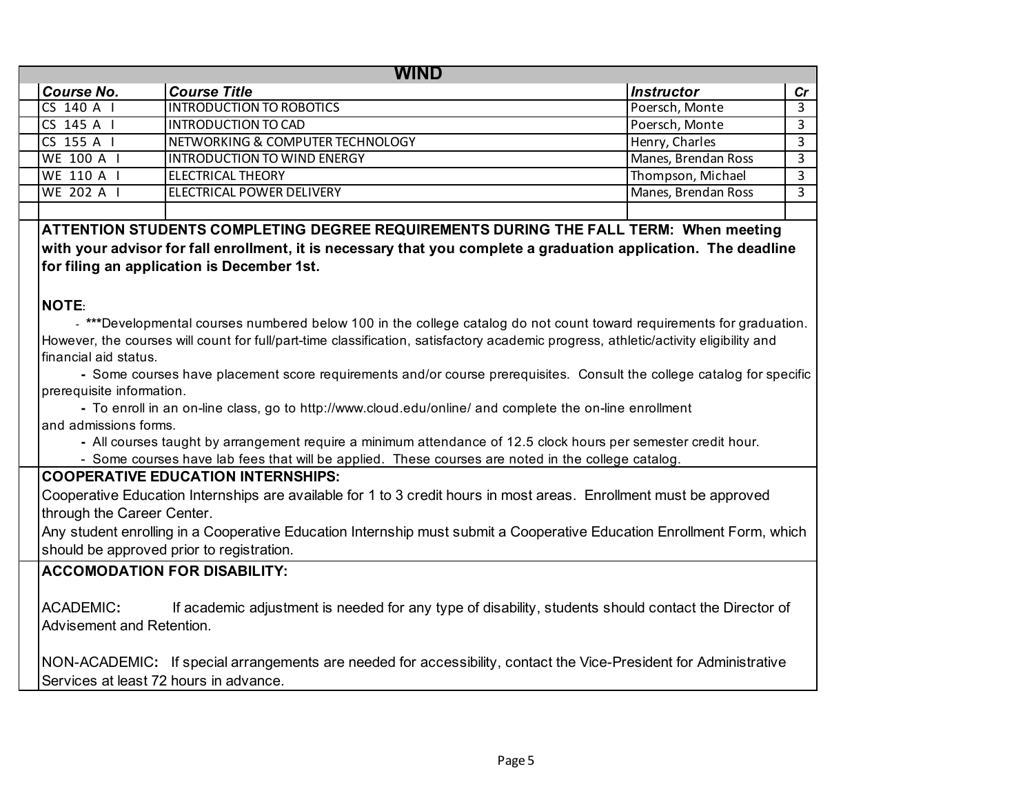| <b>WIND</b>                                                                                                                                          |                                                                                                                                      |                     |    |  |  |
|------------------------------------------------------------------------------------------------------------------------------------------------------|--------------------------------------------------------------------------------------------------------------------------------------|---------------------|----|--|--|
| <b>Course No.</b>                                                                                                                                    | <b>Course Title</b>                                                                                                                  | <b>Instructor</b>   | cr |  |  |
| $CS$ 140 A $\vert$                                                                                                                                   | <b>INTRODUCTION TO ROBOTICS</b>                                                                                                      | Poersch, Monte      | 3  |  |  |
| CS 145 A I                                                                                                                                           | <b>INTRODUCTION TO CAD</b>                                                                                                           | Poersch, Monte      | 3  |  |  |
| CS 155 A I                                                                                                                                           | NETWORKING & COMPUTER TECHNOLOGY                                                                                                     | Henry, Charles      | 3  |  |  |
| <b>WE 100 A I</b>                                                                                                                                    | <b>INTRODUCTION TO WIND ENERGY</b>                                                                                                   | Manes, Brendan Ross | 3  |  |  |
| WE 110 A I                                                                                                                                           | <b>ELECTRICAL THEORY</b>                                                                                                             | Thompson, Michael   | 3  |  |  |
| <b>WE 202 A I</b>                                                                                                                                    | <b>ELECTRICAL POWER DELIVERY</b>                                                                                                     | Manes, Brendan Ross | 3  |  |  |
|                                                                                                                                                      |                                                                                                                                      |                     |    |  |  |
|                                                                                                                                                      | ATTENTION STUDENTS COMPLETING DEGREE REQUIREMENTS DURING THE FALL TERM: When meeting                                                 |                     |    |  |  |
|                                                                                                                                                      | with your advisor for fall enrollment, it is necessary that you complete a graduation application. The deadline                      |                     |    |  |  |
|                                                                                                                                                      | for filing an application is December 1st.                                                                                           |                     |    |  |  |
|                                                                                                                                                      |                                                                                                                                      |                     |    |  |  |
| <b>NOTE:</b>                                                                                                                                         |                                                                                                                                      |                     |    |  |  |
|                                                                                                                                                      | - ***Developmental courses numbered below 100 in the college catalog do not count toward requirements for graduation.                |                     |    |  |  |
|                                                                                                                                                      | However, the courses will count for full/part-time classification, satisfactory academic progress, athletic/activity eligibility and |                     |    |  |  |
| financial aid status.                                                                                                                                |                                                                                                                                      |                     |    |  |  |
|                                                                                                                                                      |                                                                                                                                      |                     |    |  |  |
| - Some courses have placement score requirements and/or course prerequisites. Consult the college catalog for specific<br>prerequisite information.  |                                                                                                                                      |                     |    |  |  |
| - To enroll in an on-line class, go to http://www.cloud.edu/online/ and complete the on-line enrollment                                              |                                                                                                                                      |                     |    |  |  |
| and admissions forms.                                                                                                                                |                                                                                                                                      |                     |    |  |  |
| - All courses taught by arrangement require a minimum attendance of 12.5 clock hours per semester credit hour.                                       |                                                                                                                                      |                     |    |  |  |
| - Some courses have lab fees that will be applied. These courses are noted in the college catalog.                                                   |                                                                                                                                      |                     |    |  |  |
| <b>COOPERATIVE EDUCATION INTERNSHIPS:</b>                                                                                                            |                                                                                                                                      |                     |    |  |  |
| Cooperative Education Internships are available for 1 to 3 credit hours in most areas. Enrollment must be approved                                   |                                                                                                                                      |                     |    |  |  |
|                                                                                                                                                      |                                                                                                                                      |                     |    |  |  |
| through the Career Center.<br>Any student enrolling in a Cooperative Education Internship must submit a Cooperative Education Enrollment Form, which |                                                                                                                                      |                     |    |  |  |
|                                                                                                                                                      |                                                                                                                                      |                     |    |  |  |
|                                                                                                                                                      | should be approved prior to registration.                                                                                            |                     |    |  |  |
| <b>ACCOMODATION FOR DISABILITY:</b>                                                                                                                  |                                                                                                                                      |                     |    |  |  |
|                                                                                                                                                      |                                                                                                                                      |                     |    |  |  |
| <b>ACADEMIC:</b>                                                                                                                                     | If academic adjustment is needed for any type of disability, students should contact the Director of                                 |                     |    |  |  |
| Advisement and Retention.                                                                                                                            |                                                                                                                                      |                     |    |  |  |
|                                                                                                                                                      |                                                                                                                                      |                     |    |  |  |
|                                                                                                                                                      | NON-ACADEMIC: If special arrangements are needed for accessibility, contact the Vice-President for Administrative                    |                     |    |  |  |
| Services at least 72 hours in advance.                                                                                                               |                                                                                                                                      |                     |    |  |  |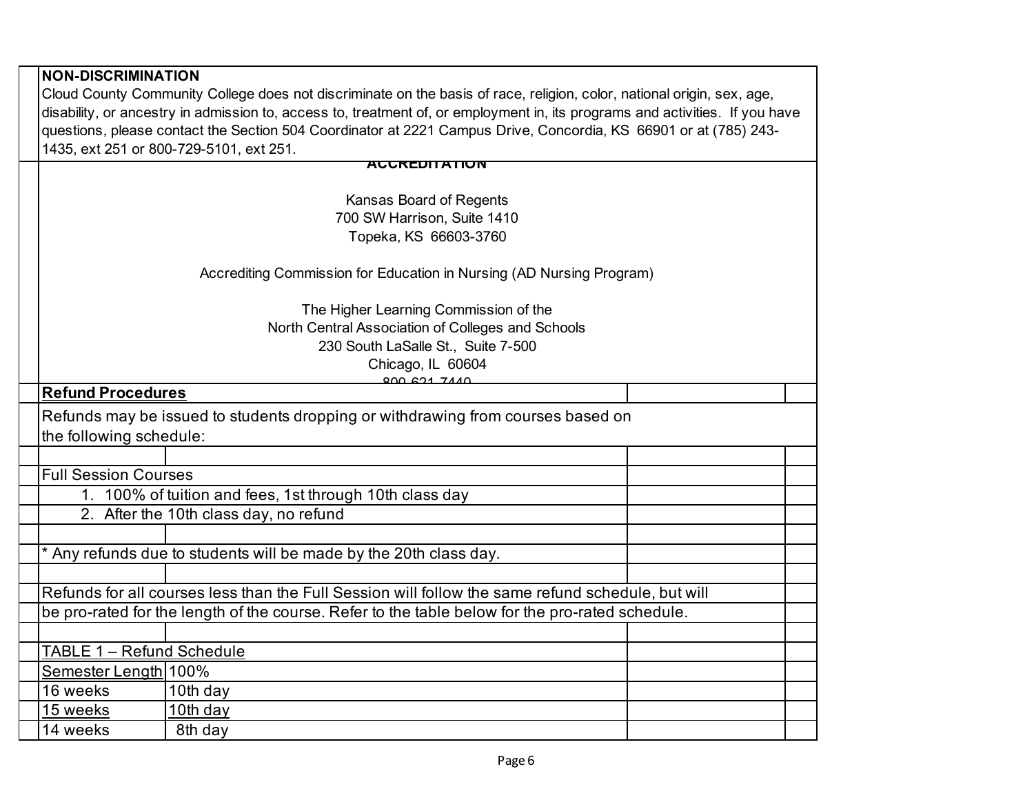| <b>NON-DISCRIMINATION</b>                                                                                                    |                                                                                                                  |  |  |
|------------------------------------------------------------------------------------------------------------------------------|------------------------------------------------------------------------------------------------------------------|--|--|
| Cloud County Community College does not discriminate on the basis of race, religion, color, national origin, sex, age,       |                                                                                                                  |  |  |
| disability, or ancestry in admission to, access to, treatment of, or employment in, its programs and activities. If you have |                                                                                                                  |  |  |
|                                                                                                                              | questions, please contact the Section 504 Coordinator at 2221 Campus Drive, Concordia, KS 66901 or at (785) 243- |  |  |
|                                                                                                                              | 1435, ext 251 or 800-729-5101, ext 251.                                                                          |  |  |
|                                                                                                                              | <b>AUUREDITATION</b>                                                                                             |  |  |
|                                                                                                                              |                                                                                                                  |  |  |
|                                                                                                                              | Kansas Board of Regents<br>700 SW Harrison, Suite 1410                                                           |  |  |
|                                                                                                                              | Topeka, KS 66603-3760                                                                                            |  |  |
|                                                                                                                              |                                                                                                                  |  |  |
|                                                                                                                              | Accrediting Commission for Education in Nursing (AD Nursing Program)                                             |  |  |
|                                                                                                                              |                                                                                                                  |  |  |
|                                                                                                                              | The Higher Learning Commission of the                                                                            |  |  |
|                                                                                                                              | North Central Association of Colleges and Schools<br>230 South LaSalle St., Suite 7-500                          |  |  |
|                                                                                                                              | Chicago, IL 60604                                                                                                |  |  |
|                                                                                                                              | <u>000 621 7440</u>                                                                                              |  |  |
| <b>Refund Procedures</b>                                                                                                     |                                                                                                                  |  |  |
|                                                                                                                              | Refunds may be issued to students dropping or withdrawing from courses based on                                  |  |  |
| the following schedule:                                                                                                      |                                                                                                                  |  |  |
|                                                                                                                              |                                                                                                                  |  |  |
| <b>Full Session Courses</b>                                                                                                  |                                                                                                                  |  |  |
|                                                                                                                              | 1. 100% of tuition and fees, 1st through 10th class day                                                          |  |  |
|                                                                                                                              | 2. After the 10th class day, no refund                                                                           |  |  |
|                                                                                                                              |                                                                                                                  |  |  |
|                                                                                                                              | * Any refunds due to students will be made by the 20th class day.                                                |  |  |
|                                                                                                                              |                                                                                                                  |  |  |
|                                                                                                                              | Refunds for all courses less than the Full Session will follow the same refund schedule, but will                |  |  |
|                                                                                                                              | be pro-rated for the length of the course. Refer to the table below for the pro-rated schedule.                  |  |  |
|                                                                                                                              |                                                                                                                  |  |  |
| TABLE 1 - Refund Schedule                                                                                                    |                                                                                                                  |  |  |
| Semester Length 100%                                                                                                         |                                                                                                                  |  |  |
| 16 weeks                                                                                                                     | 10th day                                                                                                         |  |  |
| 15 weeks                                                                                                                     | 10th day                                                                                                         |  |  |
| 14 weeks                                                                                                                     | 8th day                                                                                                          |  |  |